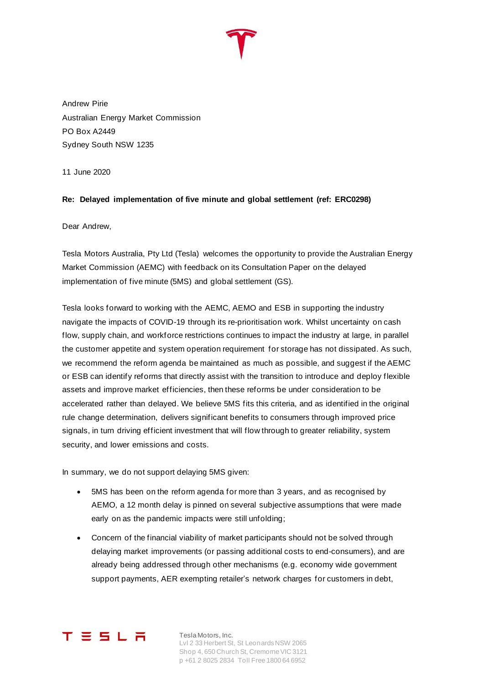

Andrew Pirie Australian Energy Market Commission PO Box A2449 Sydney South NSW 1235

11 June 2020

## **Re: Delayed implementation of five minute and global settlement (ref: ERC0298)**

Dear Andrew,

Tesla Motors Australia, Pty Ltd (Tesla) welcomes the opportunity to provide the Australian Energy Market Commission (AEMC) with feedback on its Consultation Paper on the delayed implementation of five minute (5MS) and global settlement (GS).

Tesla looks forward to working with the AEMC, AEMO and ESB in supporting the industry navigate the impacts of COVID-19 through its re-prioritisation work. Whilst uncertainty on cash flow, supply chain, and workforce restrictions continues to impact the industry at large, in parallel the customer appetite and system operation requirement for storage has not dissipated. As such, we recommend the reform agenda be maintained as much as possible, and suggest if the AEMC or ESB can identify reforms that directly assist with the transition to introduce and deploy flexible assets and improve market efficiencies, then these reforms be under consideration to be accelerated rather than delayed. We believe 5MS fits this criteria, and as identified in the original rule change determination, delivers significant benefits to consumers through improved price signals, in turn driving efficient investment that will flow through to greater reliability, system security, and lower emissions and costs.

In summary, we do not support delaying 5MS given:

- 5MS has been on the reform agenda for more than 3 years, and as recognised by AEMO, a 12 month delay is pinned on several subjective assumptions that were made early on as the pandemic impacts were still unfolding;
- Concern of the financial viability of market participants should not be solved through delaying market improvements (or passing additional costs to end-consumers), and are already being addressed through other mechanisms (e.g. economy wide government support payments, AER exempting retailer's network charges for customers in debt,



Tesla Motors, Inc. Lvl 2 33 Herbert St, St Leonards NSW 2065 Shop 4, 650 Church St, Cremorne VIC 3121 p +61 2 8025 2834 Toll Free 1800 64 6952